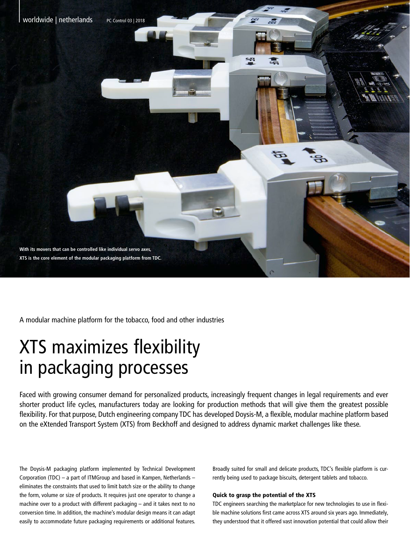

A modular machine platform for the tobacco, food and other industries

## XTS maximizes flexibility in packaging processes

Faced with growing consumer demand for personalized products, increasingly frequent changes in legal requirements and ever shorter product life cycles, manufacturers today are looking for production methods that will give them the greatest possible flexibility. For that purpose, Dutch engineering company TDC has developed Doysis-M, a flexible, modular machine platform based on the eXtended Transport System (XTS) from Beckhoff and designed to address dynamic market challenges like these.

The Doysis-M packaging platform implemented by Technical Development Corporation (TDC) – a part of ITMGroup and based in Kampen, Netherlands – eliminates the constraints that used to limit batch size or the ability to change the form, volume or size of products. It requires just one operator to change a machine over to a product with different packaging – and it takes next to no conversion time. In addition, the machine's modular design means it can adapt easily to accommodate future packaging requirements or additional features.

Broadly suited for small and delicate products, TDC's flexible platform is currently being used to package biscuits, detergent tablets and tobacco.

## Quick to grasp the potential of the XTS

TDC engineers searching the marketplace for new technologies to use in flexible machine solutions first came across XTS around six years ago. Immediately, they understood that it offered vast innovation potential that could allow their